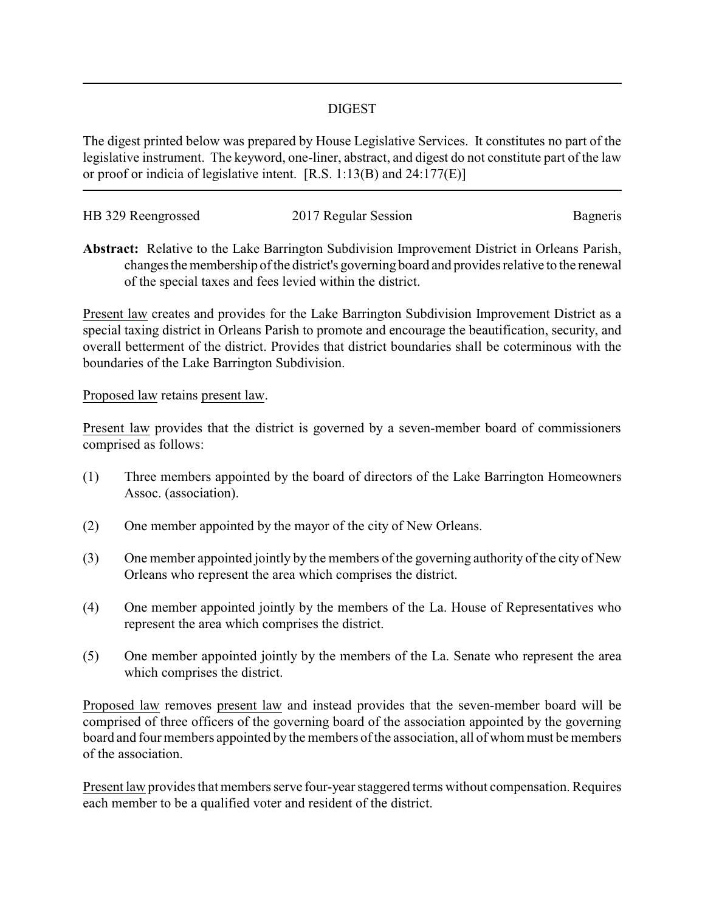## DIGEST

The digest printed below was prepared by House Legislative Services. It constitutes no part of the legislative instrument. The keyword, one-liner, abstract, and digest do not constitute part of the law or proof or indicia of legislative intent. [R.S. 1:13(B) and 24:177(E)]

| HB 329 Reengrossed | 2017 Regular Session | Bagneris |
|--------------------|----------------------|----------|
|                    |                      |          |

**Abstract:** Relative to the Lake Barrington Subdivision Improvement District in Orleans Parish, changes the membership of the district's governing board and provides relative to the renewal of the special taxes and fees levied within the district.

Present law creates and provides for the Lake Barrington Subdivision Improvement District as a special taxing district in Orleans Parish to promote and encourage the beautification, security, and overall betterment of the district. Provides that district boundaries shall be coterminous with the boundaries of the Lake Barrington Subdivision.

## Proposed law retains present law.

Present law provides that the district is governed by a seven-member board of commissioners comprised as follows:

- (1) Three members appointed by the board of directors of the Lake Barrington Homeowners Assoc. (association).
- (2) One member appointed by the mayor of the city of New Orleans.
- (3) One member appointed jointly by the members of the governing authority of the city of New Orleans who represent the area which comprises the district.
- (4) One member appointed jointly by the members of the La. House of Representatives who represent the area which comprises the district.
- (5) One member appointed jointly by the members of the La. Senate who represent the area which comprises the district.

Proposed law removes present law and instead provides that the seven-member board will be comprised of three officers of the governing board of the association appointed by the governing board and four members appointed by the members of the association, all of whom must be members of the association.

Present law provides that members serve four-year staggered terms without compensation. Requires each member to be a qualified voter and resident of the district.